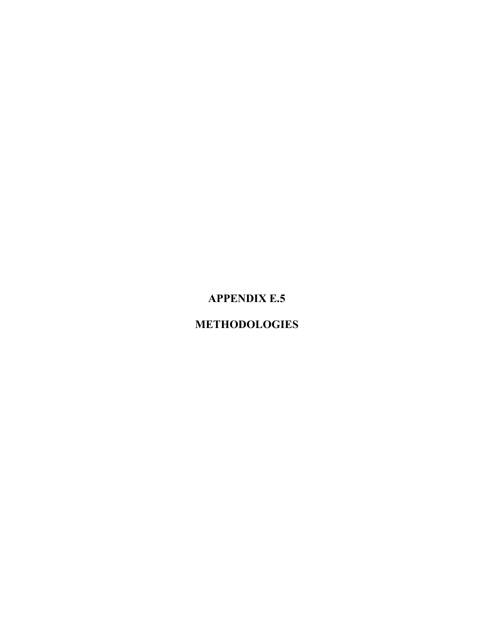# **APPENDIX E.5**

# **METHODOLOGIES**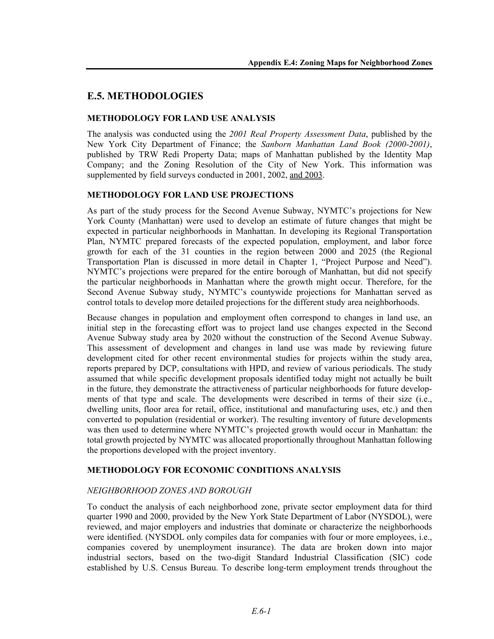# **E.5. METHODOLOGIES**

# **METHODOLOGY FOR LAND USE ANALYSIS**

The analysis was conducted using the *2001 Real Property Assessment Data*, published by the New York City Department of Finance; the *Sanborn Manhattan Land Book (2000-2001)*, published by TRW Redi Property Data; maps of Manhattan published by the Identity Map Company; and the Zoning Resolution of the City of New York. This information was supplemented by field surveys conducted in 2001, 2002, and 2003.

#### **METHODOLOGY FOR LAND USE PROJECTIONS**

As part of the study process for the Second Avenue Subway, NYMTC's projections for New York County (Manhattan) were used to develop an estimate of future changes that might be expected in particular neighborhoods in Manhattan. In developing its Regional Transportation Plan, NYMTC prepared forecasts of the expected population, employment, and labor force growth for each of the 31 counties in the region between 2000 and 2025 (the Regional Transportation Plan is discussed in more detail in Chapter 1, "Project Purpose and Need"). NYMTC's projections were prepared for the entire borough of Manhattan, but did not specify the particular neighborhoods in Manhattan where the growth might occur. Therefore, for the Second Avenue Subway study, NYMTC's countywide projections for Manhattan served as control totals to develop more detailed projections for the different study area neighborhoods.

Because changes in population and employment often correspond to changes in land use, an initial step in the forecasting effort was to project land use changes expected in the Second Avenue Subway study area by 2020 without the construction of the Second Avenue Subway. This assessment of development and changes in land use was made by reviewing future development cited for other recent environmental studies for projects within the study area, reports prepared by DCP, consultations with HPD, and review of various periodicals. The study assumed that while specific development proposals identified today might not actually be built in the future, they demonstrate the attractiveness of particular neighborhoods for future developments of that type and scale. The developments were described in terms of their size (i.e., dwelling units, floor area for retail, office, institutional and manufacturing uses, etc.) and then converted to population (residential or worker). The resulting inventory of future developments was then used to determine where NYMTC's projected growth would occur in Manhattan: the total growth projected by NYMTC was allocated proportionally throughout Manhattan following the proportions developed with the project inventory.

# **METHODOLOGY FOR ECONOMIC CONDITIONS ANALYSIS**

# *NEIGHBORHOOD ZONES AND BOROUGH*

To conduct the analysis of each neighborhood zone, private sector employment data for third quarter 1990 and 2000, provided by the New York State Department of Labor (NYSDOL), were reviewed, and major employers and industries that dominate or characterize the neighborhoods were identified. (NYSDOL only compiles data for companies with four or more employees, i.e., companies covered by unemployment insurance). The data are broken down into major industrial sectors, based on the two-digit Standard Industrial Classification (SIC) code established by U.S. Census Bureau. To describe long-term employment trends throughout the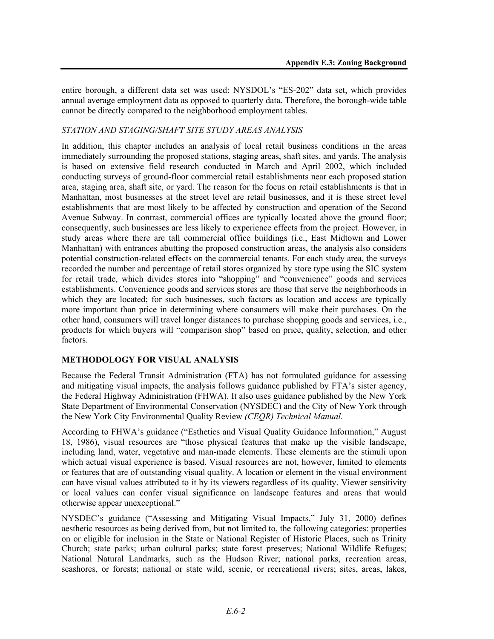entire borough, a different data set was used: NYSDOL's "ES-202" data set, which provides annual average employment data as opposed to quarterly data. Therefore, the borough-wide table cannot be directly compared to the neighborhood employment tables.

#### *STATION AND STAGING/SHAFT SITE STUDY AREAS ANALYSIS*

In addition, this chapter includes an analysis of local retail business conditions in the areas immediately surrounding the proposed stations, staging areas, shaft sites, and yards. The analysis is based on extensive field research conducted in March and April 2002, which included conducting surveys of ground-floor commercial retail establishments near each proposed station area, staging area, shaft site, or yard. The reason for the focus on retail establishments is that in Manhattan, most businesses at the street level are retail businesses, and it is these street level establishments that are most likely to be affected by construction and operation of the Second Avenue Subway. In contrast, commercial offices are typically located above the ground floor; consequently, such businesses are less likely to experience effects from the project. However, in study areas where there are tall commercial office buildings (i.e., East Midtown and Lower Manhattan) with entrances abutting the proposed construction areas, the analysis also considers potential construction-related effects on the commercial tenants. For each study area, the surveys recorded the number and percentage of retail stores organized by store type using the SIC system for retail trade, which divides stores into "shopping" and "convenience" goods and services establishments. Convenience goods and services stores are those that serve the neighborhoods in which they are located; for such businesses, such factors as location and access are typically more important than price in determining where consumers will make their purchases. On the other hand, consumers will travel longer distances to purchase shopping goods and services, i.e., products for which buyers will "comparison shop" based on price, quality, selection, and other factors.

# **METHODOLOGY FOR VISUAL ANALYSIS**

Because the Federal Transit Administration (FTA) has not formulated guidance for assessing and mitigating visual impacts, the analysis follows guidance published by FTA's sister agency, the Federal Highway Administration (FHWA). It also uses guidance published by the New York State Department of Environmental Conservation (NYSDEC) and the City of New York through the New York City Environmental Quality Review *(CEQR) Technical Manual.*

According to FHWA's guidance ("Esthetics and Visual Quality Guidance Information," August 18, 1986), visual resources are "those physical features that make up the visible landscape, including land, water, vegetative and man-made elements. These elements are the stimuli upon which actual visual experience is based. Visual resources are not, however, limited to elements or features that are of outstanding visual quality. A location or element in the visual environment can have visual values attributed to it by its viewers regardless of its quality. Viewer sensitivity or local values can confer visual significance on landscape features and areas that would otherwise appear unexceptional."

NYSDEC's guidance ("Assessing and Mitigating Visual Impacts," July 31, 2000) defines aesthetic resources as being derived from, but not limited to, the following categories: properties on or eligible for inclusion in the State or National Register of Historic Places, such as Trinity Church; state parks; urban cultural parks; state forest preserves; National Wildlife Refuges; National Natural Landmarks, such as the Hudson River; national parks, recreation areas, seashores, or forests; national or state wild, scenic, or recreational rivers; sites, areas, lakes,